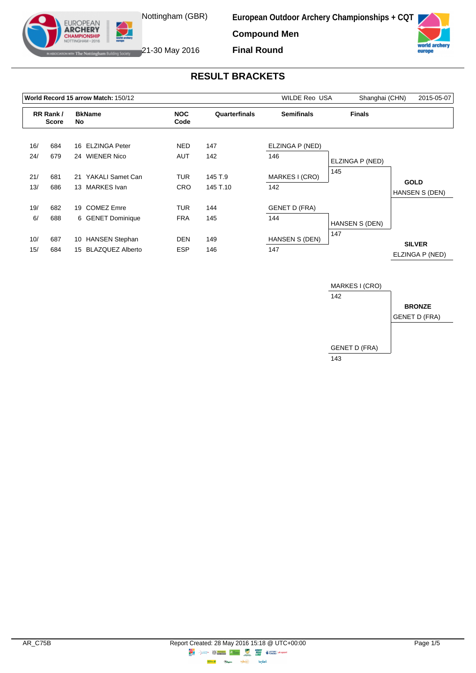

**European Outdoor Archery Championships + CQT**

**Compound Men Final Round**



**IF The Nottingham Building Society** 21-30 May 2016

EUROPEAN<br>**ARCHERY IPIONSHII** 

# **RESULT BRACKETS**

|     |                          |    | World Record 15 arrow Match: 150/12       |            | <b>WILDE Reo USA</b> | 2015-05-07<br>Shanghai (CHN) |                 |                                  |
|-----|--------------------------|----|-------------------------------------------|------------|----------------------|------------------------------|-----------------|----------------------------------|
|     | RR Rank/<br><b>Score</b> |    | <b>NOC</b><br><b>BkName</b><br>No<br>Code |            | Quarterfinals        | <b>Semifinals</b>            | <b>Finals</b>   |                                  |
| 16/ | 684                      |    | 16 ELZINGA Peter                          | <b>NED</b> | 147                  | ELZINGA P (NED)              |                 |                                  |
| 24/ | 679                      |    | 24 WIENER Nico                            | AUT        | 142                  | 146                          | ELZINGA P (NED) |                                  |
| 21/ | 681                      | 21 | YAKALI Samet Can                          | TUR        | 145 T.9              | MARKES I (CRO)               | 145             |                                  |
| 13/ | 686                      |    | 13 MARKES Ivan                            | <b>CRO</b> | 145 T.10             | 142                          |                 | <b>GOLD</b><br>HANSEN S (DEN)    |
| 19/ | 682                      | 19 | <b>COMEZ Emre</b>                         | <b>TUR</b> | 144                  | <b>GENET D (FRA)</b>         |                 |                                  |
| 6/  | 688                      |    | 6 GENET Dominique                         | <b>FRA</b> | 145                  | 144                          | HANSEN S (DEN)  |                                  |
| 10/ | 687                      |    | 10 HANSEN Stephan                         | <b>DEN</b> | 149                  | HANSEN S (DEN)               | 147             |                                  |
| 15/ | 684                      |    | 15 BLAZQUEZ Alberto                       | <b>ESP</b> | 146                  | 147                          |                 | <b>SILVER</b><br>ELZINGA P (NED) |

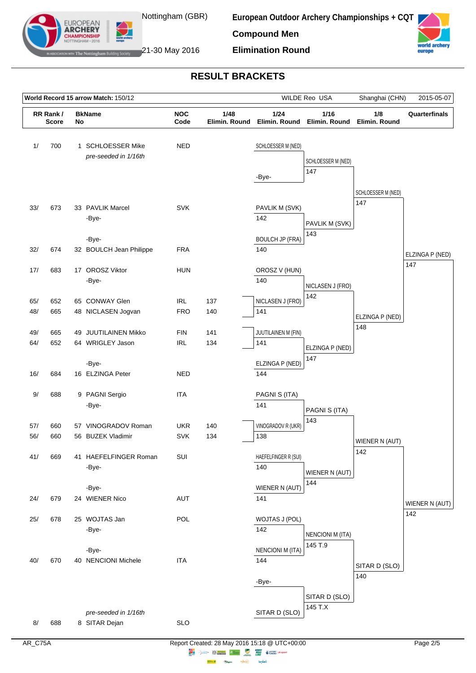

EUROPEAN **ARCHERY** 

**European Outdoor Archery Championships + CQT**

**Compound Men**





The Nottingham Building Society  $21$ -30 May 2016

## **RESULT BRACKETS**

| World Record 15 arrow Match: 150/12 |                          |    |                                           |                          |                       | WILDE Reo USA                  | Shanghai (CHN)            | 2015-05-07                |                 |
|-------------------------------------|--------------------------|----|-------------------------------------------|--------------------------|-----------------------|--------------------------------|---------------------------|---------------------------|-----------------|
|                                     | RR Rank/<br><b>Score</b> | No | <b>BkName</b>                             | <b>NOC</b><br>Code       | 1/48<br>Elimin. Round | 1/24<br>Elimin. Round          | 1/16<br>Elimin. Round     | 1/8<br>Elimin. Round      | Quarterfinals   |
| 1/                                  | 700                      |    | 1 SCHLOESSER Mike<br>pre-seeded in 1/16th | <b>NED</b>               |                       | SCHLOESSER M (NED)<br>-Bye-    | SCHLOESSER M (NED)<br>147 |                           |                 |
| 33/                                 | 673                      |    | 33 PAVLIK Marcel<br>-Bye-                 | <b>SVK</b>               |                       | PAVLIK M (SVK)<br>142          | PAVLIK M (SVK)<br>143     | SCHLOESSER M (NED)<br>147 |                 |
| 32/                                 | 674                      |    | -Bye-<br>32 BOULCH Jean Philippe          | <b>FRA</b>               |                       | <b>BOULCH JP (FRA)</b><br>140  |                           |                           | ELZINGA P (NED) |
| 17/                                 | 683                      |    | 17 OROSZ Viktor<br>-Bye-                  | <b>HUN</b>               |                       | OROSZ V (HUN)<br>140           | NICLASEN J (FRO)          |                           | 147             |
| 65/<br>48/                          | 652<br>665               |    | 65 CONWAY Glen<br>48 NICLASEN Jogvan      | <b>IRL</b><br><b>FRO</b> | 137<br>140            | NICLASEN J (FRO)<br>141        | 142                       | ELZINGA P (NED)           |                 |
| 49/<br>64/                          | 665<br>652               |    | 49 JUUTILAINEN Mikko<br>64 WRIGLEY Jason  | <b>FIN</b><br><b>IRL</b> | 141<br>134            | JUUTILAINEN M (FIN)<br>141     | ELZINGA P (NED)<br>147    | 148                       |                 |
| 16/                                 | 684                      |    | -Bye-<br>16 ELZINGA Peter                 | <b>NED</b>               |                       | ELZINGA P (NED)<br>144         |                           |                           |                 |
| 9/                                  | 688                      |    | 9 PAGNI Sergio<br>-Bye-                   | <b>ITA</b>               |                       | PAGNI S (ITA)<br>141           | PAGNI S (ITA)             |                           |                 |
| 57/                                 | 660                      |    | 57 VINOGRADOV Roman                       | <b>UKR</b>               | 140                   | VINOGRADOV R (UKR)             | 143                       |                           |                 |
| 56/                                 | 660                      |    | 56 BUZEK Vladimir                         | <b>SVK</b>               | 134                   | 138                            |                           | WIENER N (AUT)<br>142     |                 |
| 41/                                 | 669                      |    | 41 HAEFELFINGER Roman<br>-Bye-            | SUI                      |                       | HAEFELFINGER R (SUI)<br>140    | WIENER N (AUT)<br>144     |                           |                 |
| 24/                                 | 679                      |    | -Bye-<br>24 WIENER Nico                   | <b>AUT</b>               |                       | WIENER N (AUT)<br>141          |                           |                           | WIENER N (AUT)  |
| 25/                                 | 678                      |    | 25 WOJTAS Jan<br>-Bye-                    | POL                      |                       | WOJTAS J (POL)<br>142          | <b>NENCIONI M (ITA)</b>   |                           | 142             |
| 40/                                 | 670                      |    | -Bye-<br>40 NENCIONI Michele              | <b>ITA</b>               |                       | <b>NENCIONI M (ITA)</b><br>144 | 145 T.9                   | SITAR D (SLO)<br>140      |                 |
|                                     |                          |    | pre-seeded in 1/16th                      |                          |                       | -Bye-<br>SITAR D (SLO)         | SITAR D (SLO)<br>145 T.X  |                           |                 |
| 8/                                  | 688                      |    | 8 SITAR Dejan                             | <b>SLO</b>               |                       |                                |                           |                           |                 |

 $\Rightarrow \circledS$ 

**Highway Citym**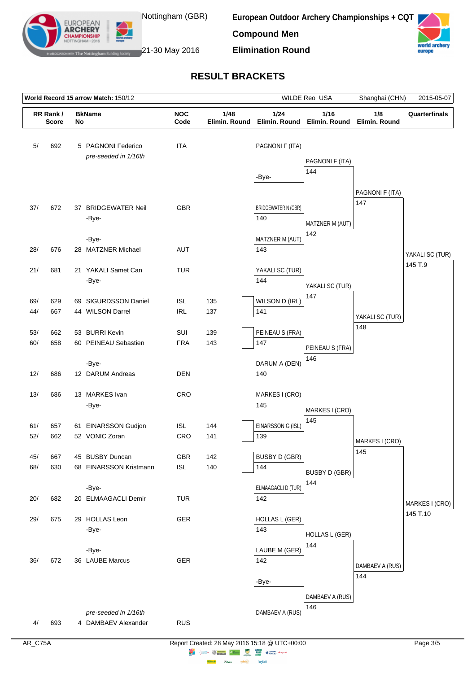

**European Outdoor Archery Championships + CQT**

**Compound Men**





The Nottingham Building Society  $21$ -30 May 2016

EUROPEAN **ARCHERY** 

## **RESULT BRACKETS**

|            | World Record 15 arrow Match: 150/12 |  | WILDE Reo USA                                                      |                          | Shanghai (CHN)        | 2015-05-07                                 |                              |                        |                            |
|------------|-------------------------------------|--|--------------------------------------------------------------------|--------------------------|-----------------------|--------------------------------------------|------------------------------|------------------------|----------------------------|
|            | RR Rank/<br><b>Score</b>            |  | <b>BkName</b><br><b>NOC</b><br>1/48<br>Code<br>Elimin. Round<br>No |                          | 1/24<br>Elimin. Round | 1/16<br>Elimin. Round                      | 1/8<br>Elimin. Round         | Quarterfinals          |                            |
| 5/         | 692                                 |  | 5 PAGNONI Federico<br>pre-seeded in 1/16th                         | <b>ITA</b>               |                       | PAGNONI F (ITA)<br>PAGNONI F (ITA)<br>144  |                              |                        |                            |
| 37/        | 672                                 |  | 37 BRIDGEWATER Neil<br>-Bye-                                       | <b>GBR</b>               |                       | -Bye-<br><b>BRIDGEWATER N (GBR)</b><br>140 | MATZNER M (AUT)              | PAGNONI F (ITA)<br>147 |                            |
| 28/        | 676                                 |  | -Bye-<br>28 MATZNER Michael                                        | AUT                      |                       | MATZNER M (AUT)<br>143                     | 142                          |                        | YAKALI SC (TUR)            |
| 21/        | 681                                 |  | 21 YAKALI Samet Can<br>-Bye-                                       | <b>TUR</b>               |                       | YAKALI SC (TUR)<br>144                     | YAKALI SC (TUR)              |                        | 145 T.9                    |
| 69/<br>44/ | 629<br>667                          |  | 69 SIGURDSSON Daniel<br>44 WILSON Darrel                           | <b>ISL</b><br><b>IRL</b> | 135<br>137            | WILSON D (IRL)<br>141                      | 147                          | YAKALI SC (TUR)<br>148 |                            |
| 53/<br>60/ | 662<br>658                          |  | 53 BURRI Kevin<br>60 PEINEAU Sebastien                             | SUI<br><b>FRA</b>        | 139<br>143            | PEINEAU S (FRA)<br>147                     | PEINEAU S (FRA)<br>146       |                        |                            |
| 12/        | 686                                 |  | -Bye-<br>12 DARUM Andreas                                          | <b>DEN</b>               |                       | DARUM A (DEN)<br>140                       |                              |                        |                            |
| 13/        | 686                                 |  | 13 MARKES Ivan<br>-Bye-                                            | CRO                      |                       | MARKES I (CRO)<br>145                      | MARKES I (CRO)               |                        |                            |
| 61/<br>52/ | 657<br>662                          |  | 61 EINARSSON Gudjon<br>52 VONIC Zoran                              | <b>ISL</b><br>CRO        | 144<br>141            | EINARSSON G (ISL)<br>139                   | 145                          | MARKES I (CRO)<br>145  |                            |
| 45/<br>68/ | 667<br>630                          |  | 45 BUSBY Duncan<br>68 EINARSSON Kristmann                          | GBR<br><b>ISL</b>        | 142<br>140            | <b>BUSBY D (GBR)</b><br>144                | <b>BUSBY D (GBR)</b><br>144  |                        |                            |
| 20/        | 682                                 |  | -Bye-<br>20 ELMAAGACLI Demir                                       | <b>TUR</b>               |                       | ELMAAGACLI D (TUR)<br>142                  |                              |                        | MARKES I (CRO)<br>145 T.10 |
| 29/        | 675                                 |  | 29 HOLLAS Leon<br>-Bye-                                            | GER                      |                       | <b>HOLLAS L (GER)</b><br>143               | <b>HOLLAS L (GER)</b><br>144 |                        |                            |
| 36/        | 672                                 |  | -Bye-<br>36 LAUBE Marcus                                           | GER                      |                       | LAUBE M (GER)<br>142                       |                              | DAMBAEV A (RUS)<br>144 |                            |
|            |                                     |  | pre-seeded in 1/16th                                               |                          |                       | -Bye-<br>DAMBAEV A (RUS)                   | DAMBAEV A (RUS)<br>146       |                        |                            |
| 4/         | 693                                 |  | 4 DAMBAEV Alexander                                                | <b>RUS</b>               |                       |                                            |                              |                        |                            |

 $\Rightarrow \circledS$ 

**Highway Citym**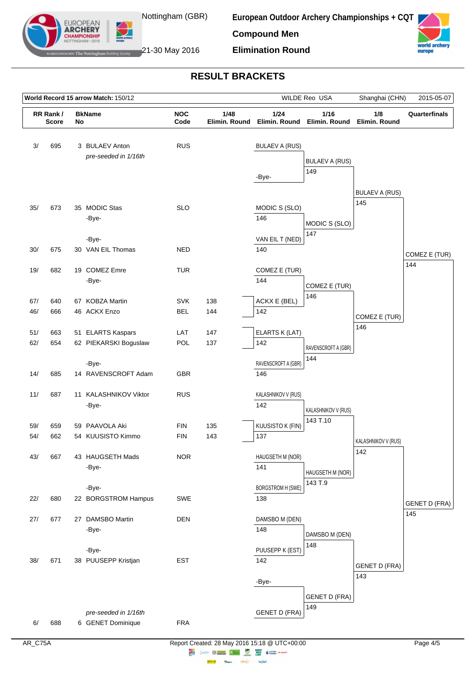

EUROPEAN **ARCHERY** 

**European Outdoor Archery Championships + CQT**

**Compound Men**





The Nottingham Building Society  $21$ -30 May 2016

# **RESULT BRACKETS**

| World Record 15 arrow Match: 150/12 |              |    |                                            |                          |               | WILDE Reo USA                   | Shanghai (CHN)               | 2015-05-07                   |                      |
|-------------------------------------|--------------|----|--------------------------------------------|--------------------------|---------------|---------------------------------|------------------------------|------------------------------|----------------------|
|                                     | RR Rank/     |    | <b>BkName</b>                              | <b>NOC</b>               | 1/48          | 1/24                            | 1/16                         |                              | Quarterfinals        |
|                                     | <b>Score</b> | No |                                            | Code                     | Elimin. Round |                                 | Elimin. Round Elimin. Round  | Elimin. Round                |                      |
| 3/                                  | 695          |    | 3 BULAEV Anton<br>pre-seeded in 1/16th     | <b>RUS</b>               |               | <b>BULAEV A (RUS)</b><br>-Bye-  | <b>BULAEV A (RUS)</b><br>149 |                              |                      |
| 35/                                 | 673          |    | 35 MODIC Stas<br>-Bye-                     | <b>SLO</b>               |               | MODIC S (SLO)<br>146            | MODIC S (SLO)<br>147         | <b>BULAEV A (RUS)</b><br>145 |                      |
| 30/                                 | 675          |    | -Bye-<br>30 VAN EIL Thomas                 | <b>NED</b>               |               | VAN EIL T (NED)<br>140          |                              |                              | COMEZ E (TUR)        |
| 19/                                 | 682          |    | 19 COMEZ Emre<br>-Bye-                     | <b>TUR</b>               |               | COMEZ E (TUR)<br>144            | COMEZ E (TUR)                |                              | 144                  |
| 67/<br>46/                          | 640<br>666   |    | 67 KOBZA Martin<br>46 ACKX Enzo            | <b>SVK</b><br><b>BEL</b> | 138<br>144    | ACKX E (BEL)<br>142             | 146                          | COMEZ E (TUR)                |                      |
| 51/<br>62/                          | 663<br>654   |    | 51 ELARTS Kaspars<br>62 PIEKARSKI Boguslaw | LAT<br>POL               | 147<br>137    | ELARTS K (LAT)<br>142           | RAVENSCROFT A (GBR)<br>144   | 146                          |                      |
| 14/                                 | 685          |    | -Bye-<br>14 RAVENSCROFT Adam               | <b>GBR</b>               |               | RAVENSCROFT A (GBR)<br>146      |                              |                              |                      |
| 11/                                 | 687          |    | 11 KALASHNIKOV Viktor<br>-Bye-             | <b>RUS</b>               |               | KALASHNIKOV V (RUS)<br>142      | KALASHNIKOV V (RUS)          |                              |                      |
| 59/                                 | 659          |    | 59 PAAVOLA Aki                             | <b>FIN</b>               | 135           | KUUSISTO K (FIN)                | 143 T.10                     |                              |                      |
| 54/                                 | 662          |    | 54 KUUSISTO Kimmo                          | <b>FIN</b>               | 143           | 137                             |                              | KALASHNIKOV V (RUS)<br>142   |                      |
| 43/                                 | 667          |    | 43 HAUGSETH Mads<br>-Bye-                  | <b>NOR</b>               |               | HAUGSETH M (NOR)<br>141         | HAUGSETH M (NOR)<br>143 T.9  |                              |                      |
| 22/                                 | 680          |    | -Bye-<br>22 BORGSTROM Hampus               | SWE                      |               | <b>BORGSTROM H (SWE)</b><br>138 |                              |                              | <b>GENET D (FRA)</b> |
| 27/                                 | 677          |    | 27 DAMSBO Martin<br>-Bye-                  | <b>DEN</b>               |               | DAMSBO M (DEN)<br>148           | DAMSBO M (DEN)               |                              | 145                  |
| 38/                                 | 671          |    | -Bye-<br>38 PUUSEPP Kristjan               | <b>EST</b>               |               | PUUSEPP K (EST)<br>142          | 148                          | <b>GENET D (FRA)</b><br>143  |                      |
|                                     |              |    | pre-seeded in 1/16th                       |                          |               | -Bye-<br><b>GENET D (FRA)</b>   | <b>GENET D (FRA)</b><br>149  |                              |                      |
| 6/                                  | 688          |    | 6 GENET Dominique                          | <b>FRA</b>               |               |                                 |                              |                              |                      |

 $\Rightarrow \circledS$ 

**Highway Citym**